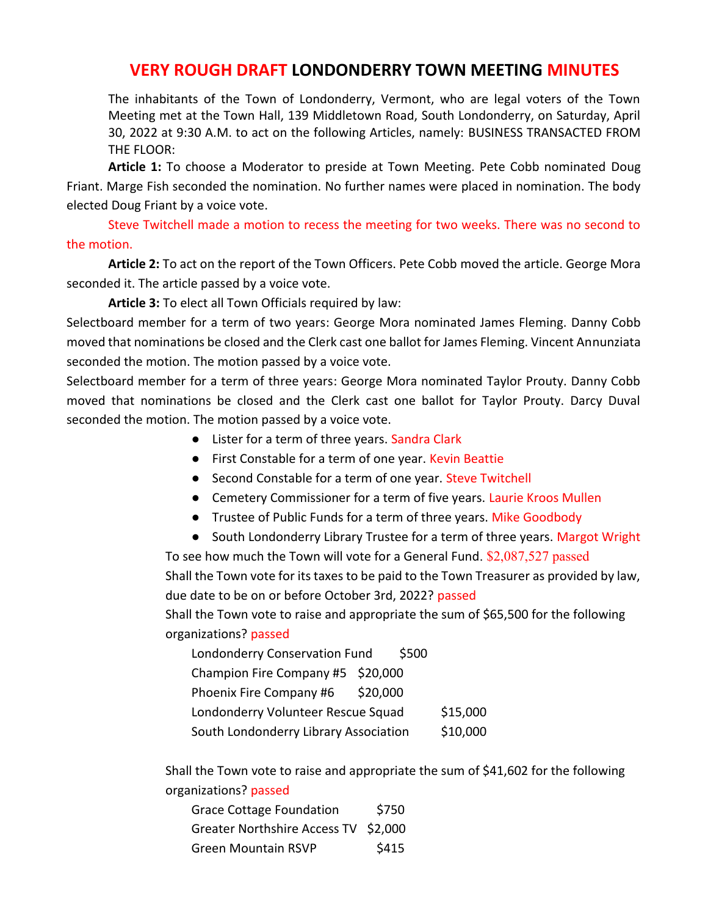## **VERY ROUGH DRAFT LONDONDERRY TOWN MEETING MINUTES**

The inhabitants of the Town of Londonderry, Vermont, who are legal voters of the Town Meeting met at the Town Hall, 139 Middletown Road, South Londonderry, on Saturday, April 30, 2022 at 9:30 A.M. to act on the following Articles, namely: BUSINESS TRANSACTED FROM THE FLOOR:

**Article 1:** To choose a Moderator to preside at Town Meeting. Pete Cobb nominated Doug Friant. Marge Fish seconded the nomination. No further names were placed in nomination. The body elected Doug Friant by a voice vote.

Steve Twitchell made a motion to recess the meeting for two weeks. There was no second to the motion.

**Article 2:** To act on the report of the Town Officers. Pete Cobb moved the article. George Mora seconded it. The article passed by a voice vote.

**Article 3:** To elect all Town Officials required by law:

Selectboard member for a term of two years: George Mora nominated James Fleming. Danny Cobb moved that nominations be closed and the Clerk cast one ballot for James Fleming. Vincent Annunziata seconded the motion. The motion passed by a voice vote.

Selectboard member for a term of three years: George Mora nominated Taylor Prouty. Danny Cobb moved that nominations be closed and the Clerk cast one ballot for Taylor Prouty. Darcy Duval seconded the motion. The motion passed by a voice vote.

- Lister for a term of three years. Sandra Clark
- First Constable for a term of one year. Kevin Beattie
- Second Constable for a term of one year. Steve Twitchell
- Cemetery Commissioner for a term of five years. Laurie Kroos Mullen
- Trustee of Public Funds for a term of three years. Mike Goodbody
- South Londonderry Library Trustee for a term of three years. Margot Wright

To see how much the Town will vote for a General Fund. \$2,087,527 passed Shall the Town vote for its taxes to be paid to the Town Treasurer as provided by law, due date to be on or before October 3rd, 2022? passed

Shall the Town vote to raise and appropriate the sum of \$65,500 for the following organizations? passed

| Londonderry Conservation Fund         | \$500    |          |
|---------------------------------------|----------|----------|
| Champion Fire Company #5 \$20,000     |          |          |
| Phoenix Fire Company #6               | \$20,000 |          |
| Londonderry Volunteer Rescue Squad    |          | \$15,000 |
| South Londonderry Library Association |          | \$10,000 |

Shall the Town vote to raise and appropriate the sum of \$41,602 for the following organizations? passed

| <b>Grace Cottage Foundation</b>      | \$750 |
|--------------------------------------|-------|
| Greater Northshire Access TV \$2,000 |       |
| <b>Green Mountain RSVP</b>           | \$415 |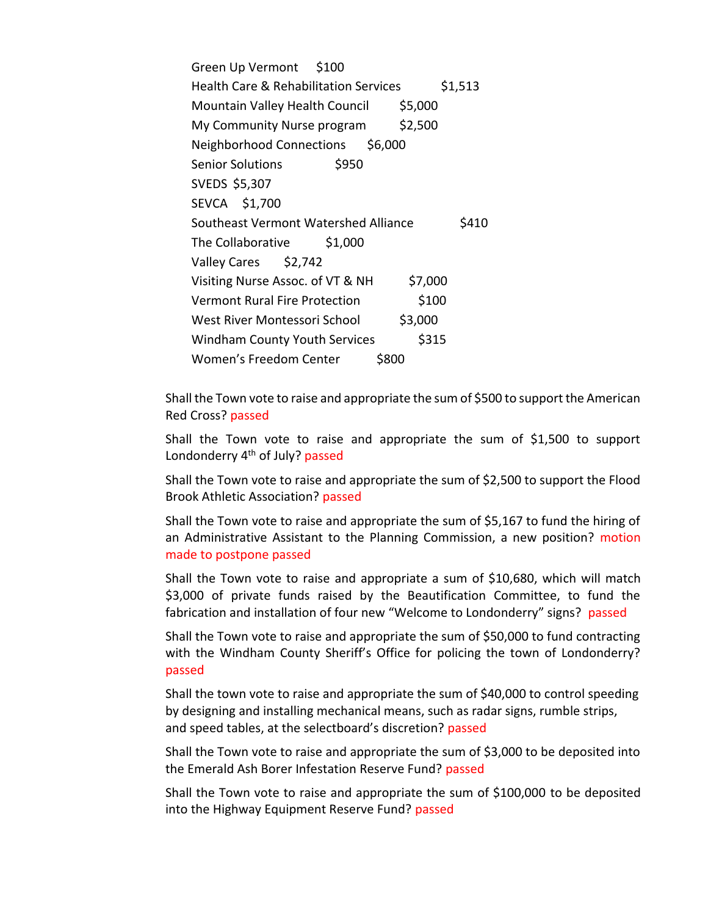Green Up Vermont \$100 Health Care & Rehabilitation Services \$1,513 Mountain Valley Health Council \$5,000 My Community Nurse program \$2,500 Neighborhood Connections \$6,000 Senior Solutions \$950 SVEDS \$5,307 SEVCA \$1,700 Southeast Vermont Watershed Alliance \$410 The Collaborative \$1,000 Valley Cares \$2,742 Visiting Nurse Assoc. of VT & NH \$7,000 Vermont Rural Fire Protection 5100 West River Montessori School \$3,000 Windham County Youth Services \$315 Women's Freedom Center \$800

Shall the Town vote to raise and appropriate the sum of \$500 to support the American Red Cross? passed

Shall the Town vote to raise and appropriate the sum of \$1,500 to support Londonderry 4<sup>th</sup> of July? passed

Shall the Town vote to raise and appropriate the sum of \$2,500 to support the Flood Brook Athletic Association? passed

Shall the Town vote to raise and appropriate the sum of \$5,167 to fund the hiring of an Administrative Assistant to the Planning Commission, a new position? motion made to postpone passed

Shall the Town vote to raise and appropriate a sum of \$10,680, which will match \$3,000 of private funds raised by the Beautification Committee, to fund the fabrication and installation of four new "Welcome to Londonderry" signs? passed

Shall the Town vote to raise and appropriate the sum of \$50,000 to fund contracting with the Windham County Sheriff's Office for policing the town of Londonderry? passed

Shall the town vote to raise and appropriate the sum of \$40,000 to control speeding by designing and installing mechanical means, such as radar signs, rumble strips, and speed tables, at the selectboard's discretion? passed

Shall the Town vote to raise and appropriate the sum of \$3,000 to be deposited into the Emerald Ash Borer Infestation Reserve Fund? passed

Shall the Town vote to raise and appropriate the sum of \$100,000 to be deposited into the Highway Equipment Reserve Fund? passed